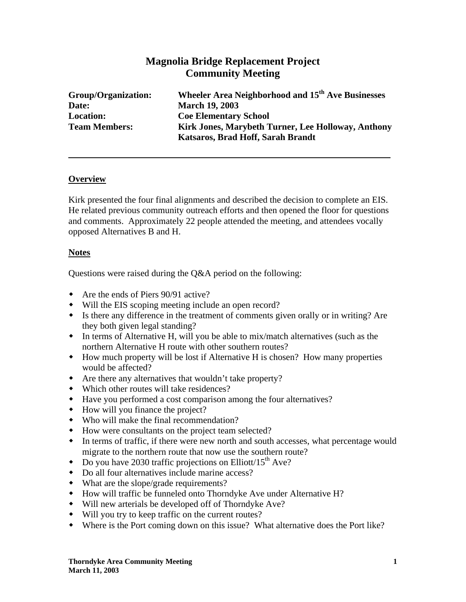## **Magnolia Bridge Replacement Project Community Meeting**

| Group/Organization:  | Wheeler Area Neighborhood and 15 <sup>th</sup> Ave Businesses |
|----------------------|---------------------------------------------------------------|
| Date:                | <b>March 19, 2003</b>                                         |
| <b>Location:</b>     | <b>Coe Elementary School</b>                                  |
| <b>Team Members:</b> | Kirk Jones, Marybeth Turner, Lee Holloway, Anthony            |
|                      | Katsaros, Brad Hoff, Sarah Brandt                             |

### **Overview**

Kirk presented the four final alignments and described the decision to complete an EIS. He related previous community outreach efforts and then opened the floor for questions and comments. Approximately 22 people attended the meeting, and attendees vocally opposed Alternatives B and H.

#### **Notes**

Questions were raised during the Q&A period on the following:

- Are the ends of Piers 90/91 active?
- Will the EIS scoping meeting include an open record?
- Is there any difference in the treatment of comments given orally or in writing? Are they both given legal standing?
- In terms of Alternative H, will you be able to mix/match alternatives (such as the northern Alternative H route with other southern routes?
- How much property will be lost if Alternative H is chosen? How many properties would be affected?
- Are there any alternatives that wouldn't take property?
- Which other routes will take residences?
- Have you performed a cost comparison among the four alternatives?
- How will you finance the project?
- Who will make the final recommendation?
- How were consultants on the project team selected?
- In terms of traffic, if there were new north and south accesses, what percentage would migrate to the northern route that now use the southern route?
- $\bullet$  Do you have 2030 traffic projections on Elliott/15<sup>th</sup> Ave?
- Do all four alternatives include marine access?
- What are the slope/grade requirements?
- How will traffic be funneled onto Thorndyke Ave under Alternative H?
- Will new arterials be developed off of Thorndyke Ave?
- Will you try to keep traffic on the current routes?
- Where is the Port coming down on this issue? What alternative does the Port like?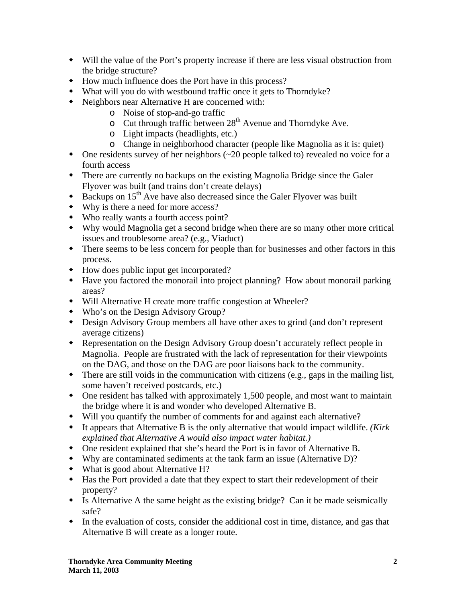- Will the value of the Port's property increase if there are less visual obstruction from the bridge structure?
- How much influence does the Port have in this process?
- What will you do with westbound traffic once it gets to Thorndyke?
- Neighbors near Alternative H are concerned with:
	- o Noise of stop-and-go traffic
	- $\circ$  Cut through traffic between  $28<sup>th</sup>$  Avenue and Thorndyke Ave.
	- o Light impacts (headlights, etc.)
	- o Change in neighborhood character (people like Magnolia as it is: quiet)
- One residents survey of her neighbors (~20 people talked to) revealed no voice for a fourth access
- There are currently no backups on the existing Magnolia Bridge since the Galer Flyover was built (and trains don't create delays)
- $\bullet$  Backups on 15<sup>th</sup> Ave have also decreased since the Galer Flyover was built
- Why is there a need for more access?
- Who really wants a fourth access point?
- Why would Magnolia get a second bridge when there are so many other more critical issues and troublesome area? (e.g., Viaduct)
- There seems to be less concern for people than for businesses and other factors in this process.
- How does public input get incorporated?
- Have you factored the monorail into project planning? How about monorail parking areas?
- Will Alternative H create more traffic congestion at Wheeler?
- Who's on the Design Advisory Group?
- Design Advisory Group members all have other axes to grind (and don't represent average citizens)
- Representation on the Design Advisory Group doesn't accurately reflect people in Magnolia. People are frustrated with the lack of representation for their viewpoints on the DAG, and those on the DAG are poor liaisons back to the community.
- There are still voids in the communication with citizens (e.g., gaps in the mailing list, some haven't received postcards, etc.)
- One resident has talked with approximately 1,500 people, and most want to maintain the bridge where it is and wonder who developed Alternative B.
- Will you quantify the number of comments for and against each alternative?
- It appears that Alternative B is the only alternative that would impact wildlife. *(Kirk explained that Alternative A would also impact water habitat.)*
- One resident explained that she's heard the Port is in favor of Alternative B.
- Why are contaminated sediments at the tank farm an issue (Alternative D)?
- What is good about Alternative H?
- Has the Port provided a date that they expect to start their redevelopment of their property?
- Is Alternative A the same height as the existing bridge? Can it be made seismically safe?
- In the evaluation of costs, consider the additional cost in time, distance, and gas that Alternative B will create as a longer route.